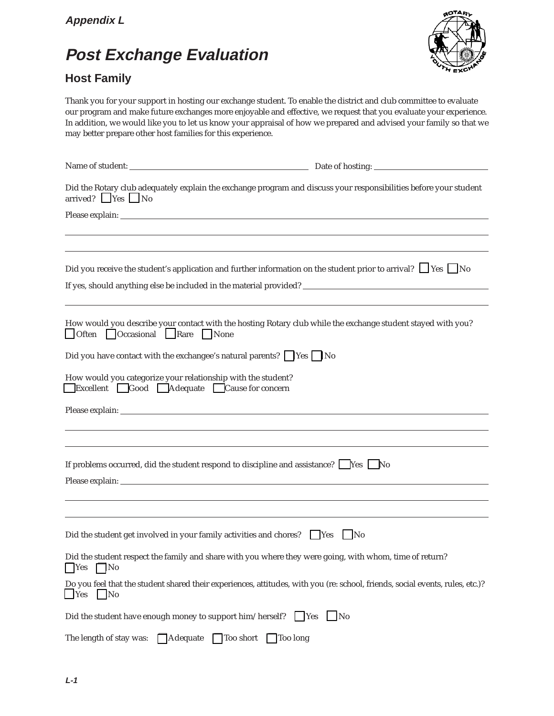## **Post Exchange Evaluation**

## **Host Family**



Thank you for your support in hosting our exchange student. To enable the district and club committee to evaluate our program and make future exchanges more enjoyable and effective, we request that you evaluate your experience. In addition, we would like you to let us know your appraisal of how we prepared and advised your family so that we may better prepare other host families for this experience.

| Did the Rotary club adequately explain the exchange program and discuss your responsibilities before your student<br>$arrived?$ Yes No                                                        |           |
|-----------------------------------------------------------------------------------------------------------------------------------------------------------------------------------------------|-----------|
|                                                                                                                                                                                               |           |
|                                                                                                                                                                                               |           |
|                                                                                                                                                                                               |           |
| Did you receive the student's application and further information on the student prior to arrival? $\Box$ Yes $\Box$ No<br>If yes, should anything else be included in the material provided? |           |
|                                                                                                                                                                                               |           |
| How would you describe your contact with the hosting Rotary club while the exchange student stayed with you?<br>Often Occasional Rare None                                                    |           |
| Did you have contact with the exchangee's natural parents? $\Box$ Yes $\Box$ No                                                                                                               |           |
| How would you categorize your relationship with the student?<br>Excellent Good Adequate Cause for concern                                                                                     |           |
|                                                                                                                                                                                               |           |
|                                                                                                                                                                                               |           |
|                                                                                                                                                                                               |           |
| If problems occurred, did the student respond to discipline and assistance? $\Box$ Yes $\Box$ No                                                                                              |           |
|                                                                                                                                                                                               |           |
|                                                                                                                                                                                               |           |
| Did the student get involved in your family activities and chores? $\Box$ Yes $\Box$ No                                                                                                       |           |
| Did the student respect the family and share with you where they were going, with whom, time of return?<br>$\Box$ Yes<br>$\Box$ No                                                            |           |
| Do you feel that the student shared their experiences, attitudes, with you (re: school, friends, social events, rules, etc.)?<br>$\vert$ Yes<br>$\vert$ No                                    |           |
| Did the student have enough money to support him/herself? $\Box$ Yes                                                                                                                          | $\Box$ No |
| The length of stay was:<br>Adequate<br>Too short<br>Too long                                                                                                                                  |           |